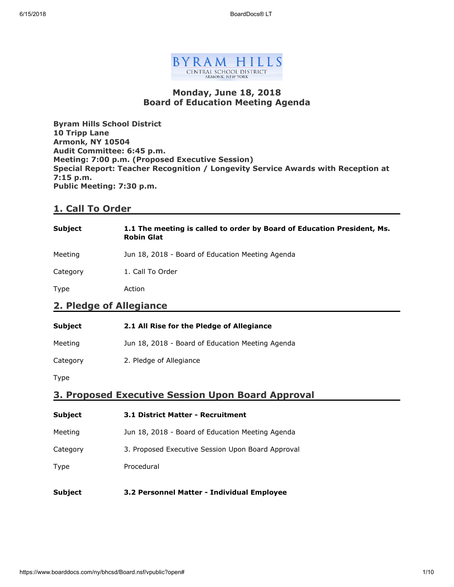

### **Monday, June 18, 2018 Board of Education Meeting Agenda**

**Byram Hills School District 10 Tripp Lane Armonk, NY 10504 Audit Committee: 6:45 p.m. Meeting: 7:00 p.m. (Proposed Executive Session) Special Report: Teacher Recognition / Longevity Service Awards with Reception at 7:15 p.m. Public Meeting: 7:30 p.m.**

### **1. Call To Order**

| <b>Subject</b>          | 1.1 The meeting is called to order by Board of Education President, Ms.<br><b>Robin Glat</b> |  |
|-------------------------|----------------------------------------------------------------------------------------------|--|
| Meeting                 | Jun 18, 2018 - Board of Education Meeting Agenda                                             |  |
| Category                | 1. Call To Order                                                                             |  |
| Type                    | Action                                                                                       |  |
| 2. Pledge of Allegiance |                                                                                              |  |

| <b>Subject</b> | 2.1 All Rise for the Pledge of Allegiance        |
|----------------|--------------------------------------------------|
| Meeting        | Jun 18, 2018 - Board of Education Meeting Agenda |
| Category       | 2. Pledge of Allegiance                          |

Type

### **3. Proposed Executive Session Upon Board Approval**

| <b>Subject</b> | <b>3.1 District Matter - Recruitment</b>          |  |
|----------------|---------------------------------------------------|--|
| Meeting        | Jun 18, 2018 - Board of Education Meeting Agenda  |  |
| Category       | 3. Proposed Executive Session Upon Board Approval |  |
| <b>Type</b>    | Procedural                                        |  |
| Subject        | 3.2 Personnel Matter - Individual Employee        |  |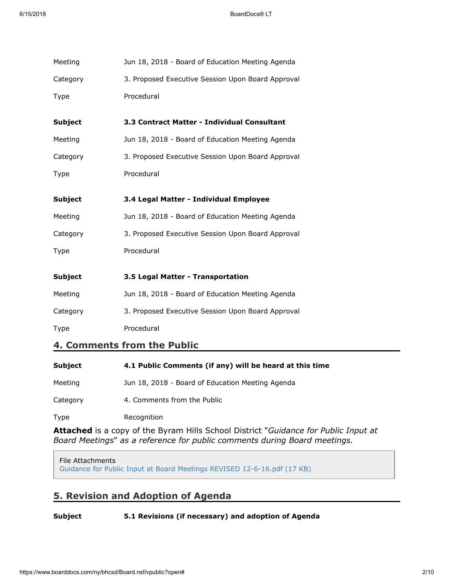| Meeting        | Jun 18, 2018 - Board of Education Meeting Agenda  |  |  |
|----------------|---------------------------------------------------|--|--|
| Category       | 3. Proposed Executive Session Upon Board Approval |  |  |
| <b>Type</b>    | Procedural                                        |  |  |
| <b>Subject</b> | 3.3 Contract Matter - Individual Consultant       |  |  |
| Meeting        | Jun 18, 2018 - Board of Education Meeting Agenda  |  |  |
| Category       | 3. Proposed Executive Session Upon Board Approval |  |  |
| <b>Type</b>    | Procedural                                        |  |  |
| <b>Subject</b> | 3.4 Legal Matter - Individual Employee            |  |  |
| Meeting        | Jun 18, 2018 - Board of Education Meeting Agenda  |  |  |
| Category       | 3. Proposed Executive Session Upon Board Approval |  |  |
| Type           | Procedural                                        |  |  |
| <b>Subject</b> | 3.5 Legal Matter - Transportation                 |  |  |
| Meeting        | Jun 18, 2018 - Board of Education Meeting Agenda  |  |  |
| Category       | 3. Proposed Executive Session Upon Board Approval |  |  |
| Type           | Procedural                                        |  |  |
|                | 4 Comments from the Public                        |  |  |

## **4. Comments from the Public**

| Subject  | 4.1 Public Comments (if any) will be heard at this time |
|----------|---------------------------------------------------------|
| Meeting  | Jun 18, 2018 - Board of Education Meeting Agenda        |
| Category | 4. Comments from the Public                             |
| Type     | Recognition                                             |

**Attached** is a copy of the Byram Hills School District "*Guidance for Public Input at Board Meetings*" *as a reference for public comments during Board meetings.*

### File Attachments

[Guidance for Public Input at Board Meetings REVISED 12-6-16.pdf \(17 KB\)](https://www.boarddocs.com/ny/bhcsd/Board.nsf/files/AYJNA75EF0F6/$file/Guidance%20for%20Public%20Input%20at%20Board%20Meetings%20REVISED%2012-6-16.pdf)

# **5. Revision and Adoption of Agenda**

### **Subject 5.1 Revisions (if necessary) and adoption of Agenda**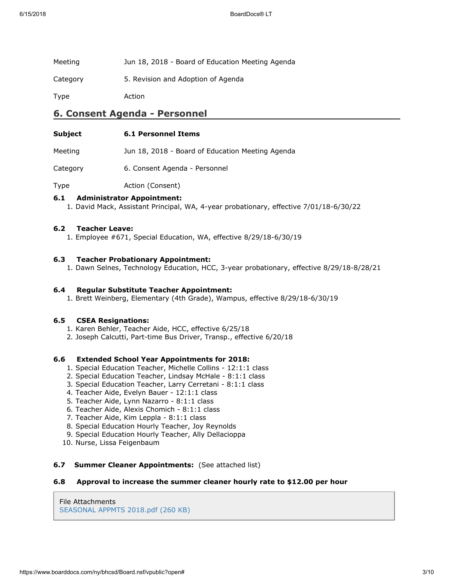| Meeting  | Jun 18, 2018 - Board of Education Meeting Agenda |
|----------|--------------------------------------------------|
| Category | 5. Revision and Adoption of Agenda               |
| Type     | Action                                           |

### **6. Consent Agenda - Personnel**

| Subject | <b>6.1 Personnel Items</b> |  |
|---------|----------------------------|--|
|         |                            |  |

Meeting Jun 18, 2018 - Board of Education Meeting Agenda

Category 6. Consent Agenda - Personnel

Type **Action** (Consent)

#### **6.1 Administrator Appointment:**

1. David Mack, Assistant Principal, WA, 4-year probationary, effective 7/01/18-6/30/22

#### **6.2 Teacher Leave:**

1. Employee #671, Special Education, WA, effective 8/29/18-6/30/19

#### **6.3 Teacher Probationary Appointment:**

1. Dawn Selnes, Technology Education, HCC, 3-year probationary, effective 8/29/18-8/28/21

#### **6.4 Regular Substitute Teacher Appointment:**

1. Brett Weinberg, Elementary (4th Grade), Wampus, effective 8/29/18-6/30/19

#### **6.5 CSEA Resignations:**

- 1. Karen Behler, Teacher Aide, HCC, effective 6/25/18
- 2. Joseph Calcutti, Part-time Bus Driver, Transp., effective 6/20/18

#### **6.6 Extended School Year Appointments for 2018:**

- 1. Special Education Teacher, Michelle Collins 12:1:1 class
- 2. Special Education Teacher, Lindsay McHale 8:1:1 class
- 3. Special Education Teacher, Larry Cerretani 8:1:1 class
- 4. Teacher Aide, Evelyn Bauer 12:1:1 class
- 5. Teacher Aide, Lynn Nazarro 8:1:1 class
- 6. Teacher Aide, Alexis Chomich 8:1:1 class
- 7. Teacher Aide, Kim Leppla 8:1:1 class
- 8. Special Education Hourly Teacher, Joy Reynolds
- 9. Special Education Hourly Teacher, Ally Dellacioppa
- 10. Nurse, Lissa Feigenbaum

#### **6.7 Summer Cleaner Appointments:** (See attached list)

#### **6.8 Approval to increase the summer cleaner hourly rate to \$12.00 per hour**

File Attachments [SEASONAL APPMTS 2018.pdf \(260 KB\)](https://www.boarddocs.com/ny/bhcsd/Board.nsf/files/AZQSWT6BAE03/$file/SEASONAL%20APPMTS%202018.pdf)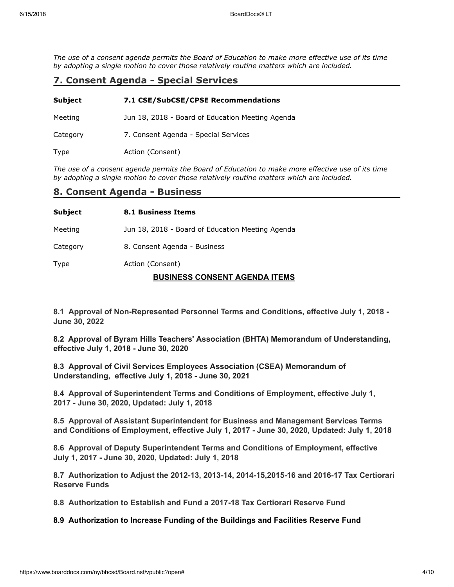*The use of a consent agenda permits the Board of Education to make more effective use of its time by adopting a single motion to cover those relatively routine matters which are included.*

# **7. Consent Agenda - Special Services**

| <b>Subject</b> | 7.1 CSE/SubCSE/CPSE Recommendations              |  |  |
|----------------|--------------------------------------------------|--|--|
| Meeting        | Jun 18, 2018 - Board of Education Meeting Agenda |  |  |
| Category       | 7. Consent Agenda - Special Services             |  |  |
| Type           | Action (Consent)                                 |  |  |

*The use of a consent agenda permits the Board of Education to make more effective use of its time by adopting a single motion to cover those relatively routine matters which are included.*

### **8. Consent Agenda - Business**

| Subject  | <b>8.1 Business Items</b>                        |
|----------|--------------------------------------------------|
| Meeting  | Jun 18, 2018 - Board of Education Meeting Agenda |
| Category | 8. Consent Agenda - Business                     |
| Type     | Action (Consent)                                 |

### **BUSINESS CONSENT AGENDA ITEMS**

**8.1 Approval of Non-Represented Personnel Terms and Conditions, effective July 1, 2018 - June 30, 2022**

**8.2 Approval of Byram Hills Teachers' Association (BHTA) Memorandum of Understanding, effective July 1, 2018 - June 30, 2020**

**8.3 Approval of Civil Services Employees Association (CSEA) Memorandum of Understanding, effective July 1, 2018 - June 30, 2021**

**8.4 Approval of Superintendent Terms and Conditions of Employment, effective July 1, 2017 - June 30, 2020, Updated: July 1, 2018**

**8.5 Approval of Assistant Superintendent for Business and Management Services Terms and Conditions of Employment, effective July 1, 2017 - June 30, 2020, Updated: July 1, 2018**

**8.6 Approval of Deputy Superintendent Terms and Conditions of Employment, effective July 1, 2017 - June 30, 2020, Updated: July 1, 2018**

**8.7 Authorization to Adjust the 2012-13, 2013-14, 2014-15,2015-16 and 2016-17 Tax Certiorari Reserve Funds**

**8.8 Authorization to Establish and Fund a 2017-18 Tax Certiorari Reserve Fund**

**8.9 Authorization to Increase Funding of the Buildings and Facilities Reserve Fund**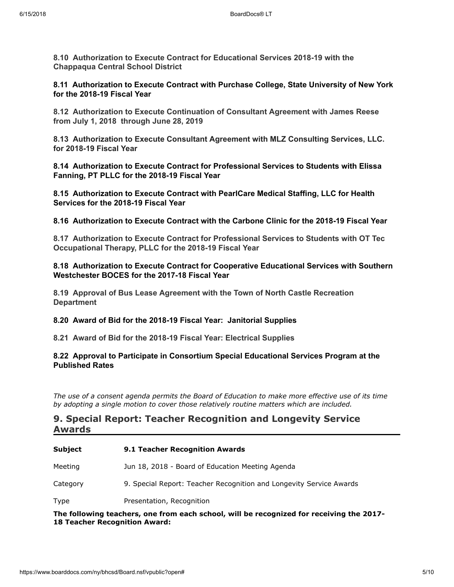**8.10 Authorization to Execute Contract for Educational Services 2018-19 with the Chappaqua Central School District**

**8.11 Authorization to Execute Contract with Purchase College, State University of New York for the 2018-19 Fiscal Year**

**8.12 Authorization to Execute Continuation of Consultant Agreement with James Reese from July 1, 2018 through June 28, 2019**

**8.13 Authorization to Execute Consultant Agreement with MLZ Consulting Services, LLC. for 2018-19 Fiscal Year**

**8.14 Authorization to Execute Contract for Professional Services to Students with Elissa Fanning, PT PLLC for the 2018-19 Fiscal Year**

**8.15 Authorization to Execute Contract with PearlCare Medical Staffing, LLC for Health Services for the 2018-19 Fiscal Year**

**8.16 Authorization to Execute Contract with the Carbone Clinic for the 2018-19 Fiscal Year**

**8.17 Authorization to Execute Contract for Professional Services to Students with OT Tec Occupational Therapy, PLLC for the 2018-19 Fiscal Year**

### **8.18 Authorization to Execute Contract for Cooperative Educational Services with Southern Westchester BOCES for the 2017-18 Fiscal Year**

**8.19 Approval of Bus Lease Agreement with the Town of North Castle Recreation Department**

#### **8.20 Award of Bid for the 2018-19 Fiscal Year: Janitorial Supplies**

**8.21 Award of Bid for the 2018-19 Fiscal Year: Electrical Supplies**

### **8.22 Approval to Participate in Consortium Special Educational Services Program at the Published Rates**

*The use of a consent agenda permits the Board of Education to make more effective use of its time by adopting a single motion to cover those relatively routine matters which are included.*

### **9. Special Report: Teacher Recognition and Longevity Service Awards**

| Subject                                                                                                                          | <b>9.1 Teacher Recognition Awards</b>                               |  |
|----------------------------------------------------------------------------------------------------------------------------------|---------------------------------------------------------------------|--|
| Meeting                                                                                                                          | Jun 18, 2018 - Board of Education Meeting Agenda                    |  |
| Category                                                                                                                         | 9. Special Report: Teacher Recognition and Longevity Service Awards |  |
| Type                                                                                                                             | Presentation, Recognition                                           |  |
| The following teachers, one from each school, will be recognized for receiving the 2017-<br><b>18 Teacher Recognition Award:</b> |                                                                     |  |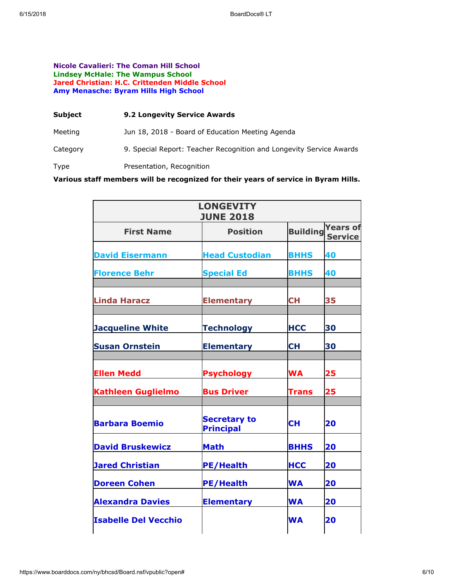#### **Nicole Cavalieri: The Coman Hill School Lindsey McHale: The Wampus School Jared Christian: H.C. Crittenden Middle School Amy Menasche: Byram Hills High School**

| Subject  | <b>9.2 Longevity Service Awards</b>                                 |
|----------|---------------------------------------------------------------------|
| Meeting  | Jun 18, 2018 - Board of Education Meeting Agenda                    |
| Category | 9. Special Report: Teacher Recognition and Longevity Service Awards |
| Type     | Presentation, Recognition                                           |

**Various staff members will be recognized for their years of service in Byram Hills.**

| <b>LONGEVITY</b><br><b>JUNE 2018</b> |                                         |                 |                                   |
|--------------------------------------|-----------------------------------------|-----------------|-----------------------------------|
| <b>First Name</b>                    | <b>Position</b>                         | <b>Building</b> | <b>Years of</b><br><b>Service</b> |
| <b>David Eisermann</b>               | <b>Head Custodian</b>                   | <b>BHHS</b>     | 40                                |
| <b>Florence Behr</b>                 | <b>Special Ed</b>                       | <b>BHHS</b>     | 40                                |
| <b>Linda Haracz</b>                  | <b>Elementary</b>                       | <b>CH</b>       | 35                                |
| <b>Jacqueline White</b>              | <b>Technology</b>                       | <b>HCC</b>      | 30                                |
| <b>Susan Ornstein</b>                | <b>Elementary</b>                       | CН              | 30                                |
| <b>Ellen Medd</b>                    | <b>Psychology</b>                       | <b>WA</b>       | 25                                |
| <b>Kathleen Guglielmo</b>            | <b>Bus Driver</b>                       | Trans           | 25                                |
| <b>Barbara Boemio</b>                | <b>Secretary to</b><br><b>Principal</b> | <b>CH</b>       | 20                                |
| <b>David Bruskewicz</b>              | <b>Math</b>                             | <b>BHHS</b>     | 20                                |
| <b>Jared Christian</b>               | <b>PE/Health</b>                        | <b>HCC</b>      | 20                                |
| <b>Doreen Cohen</b>                  | <b>PE/Health</b>                        | <b>WA</b>       | 20                                |
| <b>Alexandra Davies</b>              | <b>Elementary</b>                       | <b>WA</b>       | 20                                |
| <b>Isabelle Del Vecchio</b>          |                                         | <b>WA</b>       | 20                                |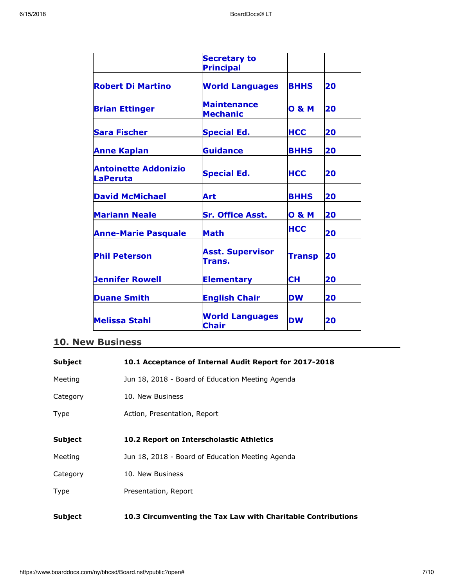|                                                | <b>Secretary to</b>                    |                  |    |
|------------------------------------------------|----------------------------------------|------------------|----|
|                                                | <b>Principal</b>                       |                  |    |
| <b>Robert Di Martino</b>                       | <b>World Languages</b>                 | <b>BHHS</b>      | 20 |
| <b>Brian Ettinger</b>                          | <b>Maintenance</b><br><b>Mechanic</b>  | <b>O &amp; M</b> | 20 |
| <b>Sara Fischer</b>                            | <b>Special Ed.</b>                     | <b>HCC</b>       | 20 |
| <b>Anne Kaplan</b>                             | <b>Guidance</b>                        | <b>BHHS</b>      | 20 |
| <b>Antoinette Addonizio</b><br><b>LaPeruta</b> | <b>Special Ed.</b>                     | <b>HCC</b>       | 20 |
| <b>David McMichael</b>                         | Art                                    | <b>BHHS</b>      | 20 |
| <b>Mariann Neale</b>                           | <b>Sr. Office Asst.</b>                | <b>O &amp; M</b> | 20 |
| <b>Anne-Marie Pasquale</b>                     | <b>Math</b>                            | <b>HCC</b>       | 20 |
| <b>Phil Peterson</b>                           | <b>Asst. Supervisor</b><br>Trans.      | <b>Transp</b>    | 20 |
| <b>Jennifer Rowell</b>                         | <b>Elementary</b>                      | <b>CH</b>        | 20 |
| <b>Duane Smith</b>                             | <b>English Chair</b>                   | <b>DW</b>        | 20 |
| <b>Melissa Stahl</b>                           | <b>World Languages</b><br><b>Chair</b> | <b>DW</b>        | 20 |

# **10. New Business**

| Subject        | 10.1 Acceptance of Internal Audit Report for 2017-2018       |
|----------------|--------------------------------------------------------------|
| Meeting        | Jun 18, 2018 - Board of Education Meeting Agenda             |
| Category       | 10. New Business                                             |
| Type           | Action, Presentation, Report                                 |
| <b>Subject</b> | 10.2 Report on Interscholastic Athletics                     |
| Meeting        | Jun 18, 2018 - Board of Education Meeting Agenda             |
| Category       | 10. New Business                                             |
| Type           | Presentation, Report                                         |
| <b>Subject</b> | 10.3 Circumventing the Tax Law with Charitable Contributions |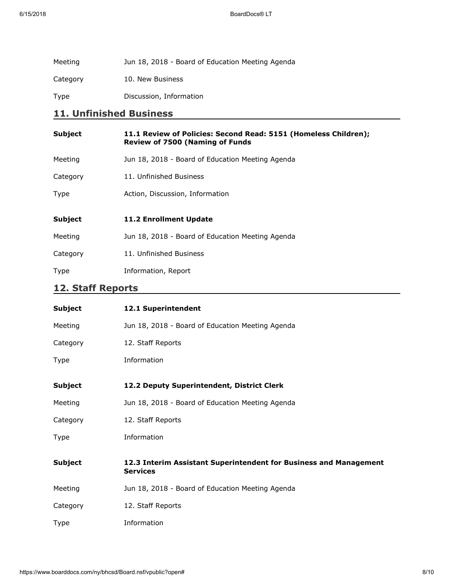| Meeting  | Jun 18, 2018 - Board of Education Meeting Agenda |
|----------|--------------------------------------------------|
| Category | 10. New Business                                 |
| Type     | Discussion, Information                          |

# **11. Unfinished Business**

| <b>Subject</b> | 11.1 Review of Policies: Second Read: 5151 (Homeless Children);<br><b>Review of 7500 (Naming of Funds</b> |
|----------------|-----------------------------------------------------------------------------------------------------------|
| Meeting        | Jun 18, 2018 - Board of Education Meeting Agenda                                                          |
| Category       | 11. Unfinished Business                                                                                   |
| Type           | Action, Discussion, Information                                                                           |
|                |                                                                                                           |
| <b>Subject</b> | <b>11.2 Enrollment Update</b>                                                                             |
| Meeting        | Jun 18, 2018 - Board of Education Meeting Agenda                                                          |
| Category       | 11. Unfinished Business                                                                                   |

# **12. Staff Reports**

| <b>Subject</b> | 12.1 Superintendent                                                                  |
|----------------|--------------------------------------------------------------------------------------|
| Meeting        | Jun 18, 2018 - Board of Education Meeting Agenda                                     |
| Category       | 12. Staff Reports                                                                    |
| Type           | Information                                                                          |
| <b>Subject</b> | 12.2 Deputy Superintendent, District Clerk                                           |
| Meeting        | Jun 18, 2018 - Board of Education Meeting Agenda                                     |
| Category       | 12. Staff Reports                                                                    |
| Type           | Information                                                                          |
| <b>Subject</b> | 12.3 Interim Assistant Superintendent for Business and Management<br><b>Services</b> |
| Meeting        | Jun 18, 2018 - Board of Education Meeting Agenda                                     |
| Category       | 12. Staff Reports                                                                    |
| <b>Type</b>    | Information                                                                          |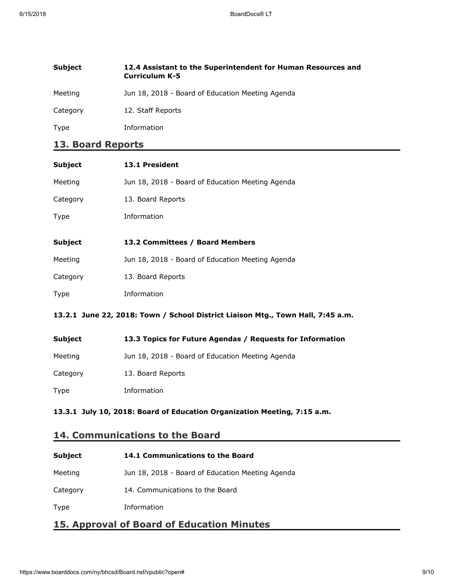| <b>Subject</b> | 12.4 Assistant to the Superintendent for Human Resources and<br><b>Curriculum K-5</b> |
|----------------|---------------------------------------------------------------------------------------|
| Meeting        | Jun 18, 2018 - Board of Education Meeting Agenda                                      |
| Category       | 12. Staff Reports                                                                     |
| Type           | Information                                                                           |

# **13. Board Reports**

| <b>Subject</b>                                                                  | 13.1 President                                   |
|---------------------------------------------------------------------------------|--------------------------------------------------|
| Meeting                                                                         | Jun 18, 2018 - Board of Education Meeting Agenda |
| Category                                                                        | 13. Board Reports                                |
| Type                                                                            | Information                                      |
|                                                                                 |                                                  |
| Subject                                                                         | 13.2 Committees / Board Members                  |
| Meeting                                                                         | Jun 18, 2018 - Board of Education Meeting Agenda |
| Category                                                                        | 13. Board Reports                                |
| Type                                                                            | Information                                      |
| 13.2.1 June 22, 2018: Town / School District Liaison Mtg., Town Hall, 7:45 a.m. |                                                  |

| Subject  | 13.3 Topics for Future Agendas / Requests for Information |
|----------|-----------------------------------------------------------|
| Meeting  | Jun 18, 2018 - Board of Education Meeting Agenda          |
| Category | 13. Board Reports                                         |
| Type     | Information                                               |

### **13.3.1 July 10, 2018: Board of Education Organization Meeting, 7:15 a.m.**

# **14. Communications to the Board**

| <b>Subject</b> | 14.1 Communications to the Board                 |
|----------------|--------------------------------------------------|
| Meeting        | Jun 18, 2018 - Board of Education Meeting Agenda |
| Category       | 14. Communications to the Board                  |
| Type           | Information                                      |

# **15. Approval of Board of Education Minutes**